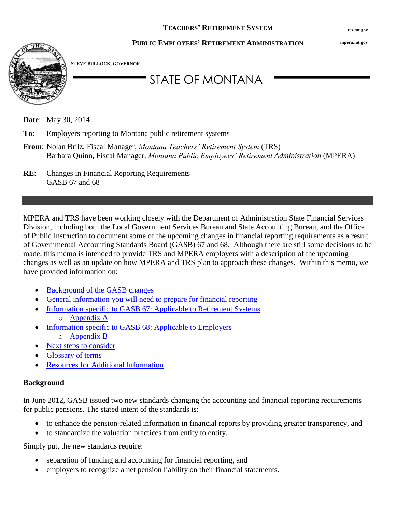**mpera.mt.gov**

# **PUBLIC EMPLOYEES' RETIREMENT ADMINISTRATION**



**STEVE BULLOCK, GOVERNOR**

# STATE OF MONTANA

**Date**: May 30, 2014

- **To**: Employers reporting to Montana public retirement systems
- **From**: Nolan Brilz, Fiscal Manager, *Montana Teachers' Retirement System* (TRS) Barbara Quinn, Fiscal Manager, *Montana Public Employees' Retirement Administration* (MPERA)
- **RE**: Changes in Financial Reporting Requirements GASB 67 and 68

MPERA and TRS have been working closely with the Department of Administration State Financial Services Division, including both the Local Government Services Bureau and State Accounting Bureau, and the Office of Public Instruction to document some of the upcoming changes in financial reporting requirements as a result of Governmental Accounting Standards Board (GASB) 67 and 68. Although there are still some decisions to be made, this memo is intended to provide TRS and MPERA employers with a description of the upcoming changes as well as an update on how MPERA and TRS plan to approach these changes. Within this memo, we have provided information on:

- [Background of the GASB changes](#page-0-0)
- [General information you will need to prepare for financial reporting](#page-1-0)
- [Information specific to GASB 67: Applicable to Retirement Systems](#page-3-0) o [Appendix A](#page-6-0)
- [Information specific to GASB 68: Applicable to Employers](#page-4-0)
	- o [Appendix B](#page-8-0)
- [Next steps to consider](#page-4-1)
- [Glossary of terms](#page-4-2)
- [Resources for Additional Information](#page-4-3)

# <span id="page-0-0"></span>**Background**

In June 2012, GASB issued two new standards changing the accounting and financial reporting requirements for public pensions. The stated intent of the standards is:

- to enhance the pension-related information in financial reports by providing greater transparency, and
- to standardize the valuation practices from entity to entity.

Simply put, the new standards require:

- separation of funding and accounting for financial reporting, and
- employers to recognize a net pension liability on their financial statements.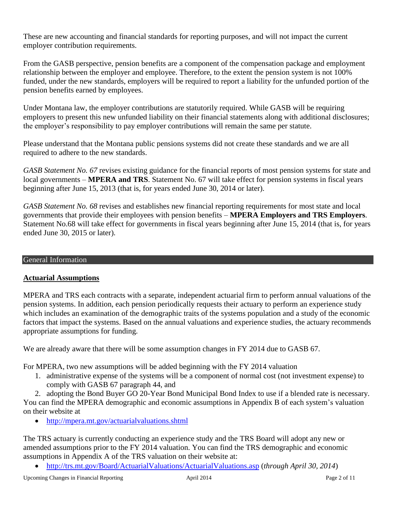These are new accounting and financial standards for reporting purposes, and will not impact the current employer contribution requirements.

From the GASB perspective, pension benefits are a component of the compensation package and employment relationship between the employer and employee. Therefore, to the extent the pension system is not 100% funded, under the new standards, employers will be required to report a liability for the unfunded portion of the pension benefits earned by employees.

Under Montana law, the employer contributions are statutorily required. While GASB will be requiring employers to present this new unfunded liability on their financial statements along with additional disclosures; the employer's responsibility to pay employer contributions will remain the same per statute.

Please understand that the Montana public pensions systems did not create these standards and we are all required to adhere to the new standards.

*GASB Statement No. 67* revises existing guidance for the financial reports of most pension systems for state and local governments – **MPERA and TRS**. Statement No. 67 will take effect for pension systems in fiscal years beginning after June 15, 2013 (that is, for years ended June 30, 2014 or later).

*GASB Statement No. 68* revises and establishes new financial reporting requirements for most state and local governments that provide their employees with pension benefits – **MPERA Employers and TRS Employers**. Statement No.68 will take effect for governments in fiscal years beginning after June 15, 2014 (that is, for years ended June 30, 2015 or later).

#### <span id="page-1-0"></span>General Information

# **Actuarial Assumptions**

MPERA and TRS each contracts with a separate, independent actuarial firm to perform annual valuations of the pension systems. In addition, each pension periodically requests their actuary to perform an experience study which includes an examination of the demographic traits of the systems population and a study of the economic factors that impact the systems. Based on the annual valuations and experience studies, the actuary recommends appropriate assumptions for funding.

We are already aware that there will be some assumption changes in FY 2014 due to GASB 67.

For MPERA, two new assumptions will be added beginning with the FY 2014 valuation

1. administrative expense of the systems will be a component of normal cost (not investment expense) to comply with GASB 67 paragraph 44, and

2. adopting the Bond Buyer GO 20-Year Bond Municipal Bond Index to use if a blended rate is necessary. You can find the MPERA demographic and economic assumptions in Appendix B of each system's valuation on their website at

<http://mpera.mt.gov/actuarialvaluations.shtml>

The TRS actuary is currently conducting an experience study and the TRS Board will adopt any new or amended assumptions prior to the FY 2014 valuation. You can find the TRS demographic and economic assumptions in Appendix A of the TRS valuation on their website at:

<http://trs.mt.gov/Board/ActuarialValuations/ActuarialValuations.asp> (*through April 30, 2014*)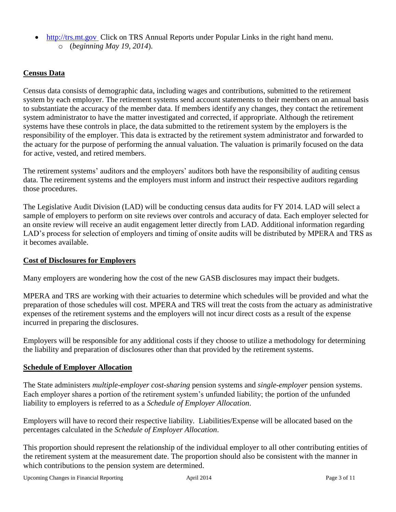- http://trs.mt.gov Click on TRS Annual Reports under Popular Links in the right hand menu.
	- o (*beginning May 19, 2014*).

# **Census Data**

Census data consists of demographic data, including wages and contributions, submitted to the retirement system by each employer. The retirement systems send account statements to their members on an annual basis to substantiate the accuracy of the member data. If members identify any changes, they contact the retirement system administrator to have the matter investigated and corrected, if appropriate. Although the retirement systems have these controls in place, the data submitted to the retirement system by the employers is the responsibility of the employer. This data is extracted by the retirement system administrator and forwarded to the actuary for the purpose of performing the annual valuation. The valuation is primarily focused on the data for active, vested, and retired members.

The retirement systems' auditors and the employers' auditors both have the responsibility of auditing census data. The retirement systems and the employers must inform and instruct their respective auditors regarding those procedures.

The Legislative Audit Division (LAD) will be conducting census data audits for FY 2014. LAD will select a sample of employers to perform on site reviews over controls and accuracy of data. Each employer selected for an onsite review will receive an audit engagement letter directly from LAD. Additional information regarding LAD's process for selection of employers and timing of onsite audits will be distributed by MPERA and TRS as it becomes available.

#### **Cost of Disclosures for Employers**

Many employers are wondering how the cost of the new GASB disclosures may impact their budgets.

MPERA and TRS are working with their actuaries to determine which schedules will be provided and what the preparation of those schedules will cost. MPERA and TRS will treat the costs from the actuary as administrative expenses of the retirement systems and the employers will not incur direct costs as a result of the expense incurred in preparing the disclosures.

Employers will be responsible for any additional costs if they choose to utilize a methodology for determining the liability and preparation of disclosures other than that provided by the retirement systems.

#### **Schedule of Employer Allocation**

The State administers *multiple-employer cost-sharing* pension systems and *single-employer* pension systems. Each employer shares a portion of the retirement system's unfunded liability; the portion of the unfunded liability to employers is referred to as a *Schedule of Employer Allocation*.

Employers will have to record their respective liability. Liabilities/Expense will be allocated based on the percentages calculated in the *Schedule of Employer Allocation*.

This proportion should represent the relationship of the individual employer to all other contributing entities of the retirement system at the measurement date. The proportion should also be consistent with the manner in which contributions to the pension system are determined.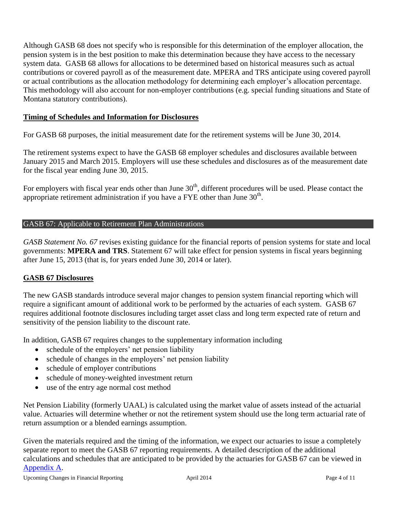Although GASB 68 does not specify who is responsible for this determination of the employer allocation, the pension system is in the best position to make this determination because they have access to the necessary system data. GASB 68 allows for allocations to be determined based on historical measures such as actual contributions or covered payroll as of the measurement date. MPERA and TRS anticipate using covered payroll or actual contributions as the allocation methodology for determining each employer's allocation percentage. This methodology will also account for non-employer contributions (e.g. special funding situations and State of Montana statutory contributions).

# **Timing of Schedules and Information for Disclosures**

For GASB 68 purposes, the initial measurement date for the retirement systems will be June 30, 2014.

The retirement systems expect to have the GASB 68 employer schedules and disclosures available between January 2015 and March 2015. Employers will use these schedules and disclosures as of the measurement date for the fiscal year ending June 30, 2015.

For employers with fiscal year ends other than June 30<sup>th</sup>, different procedures will be used. Please contact the appropriate retirement administration if you have a FYE other than June  $30<sup>th</sup>$ .

# <span id="page-3-0"></span>GASB 67: Applicable to Retirement Plan Administrations

*GASB Statement No. 67* revises existing guidance for the financial reports of pension systems for state and local governments: **MPERA and TRS**. Statement 67 will take effect for pension systems in fiscal years beginning after June 15, 2013 (that is, for years ended June 30, 2014 or later).

# **GASB 67 Disclosures**

The new GASB standards introduce several major changes to pension system financial reporting which will require a significant amount of additional work to be performed by the actuaries of each system. GASB 67 requires additional footnote disclosures including target asset class and long term expected rate of return and sensitivity of the pension liability to the discount rate.

In addition, GASB 67 requires changes to the supplementary information including

- schedule of the employers' net pension liability
- schedule of changes in the employers' net pension liability
- schedule of employer contributions
- schedule of money-weighted investment return
- use of the entry age normal cost method

Net Pension Liability (formerly UAAL) is calculated using the market value of assets instead of the actuarial value. Actuaries will determine whether or not the retirement system should use the long term actuarial rate of return assumption or a blended earnings assumption.

Given the materials required and the timing of the information, we expect our actuaries to issue a completely separate report to meet the GASB 67 reporting requirements. A detailed description of the additional calculations and schedules that are anticipated to be provided by the actuaries for GASB 67 can be viewed in [Appendix A.](#page-6-0)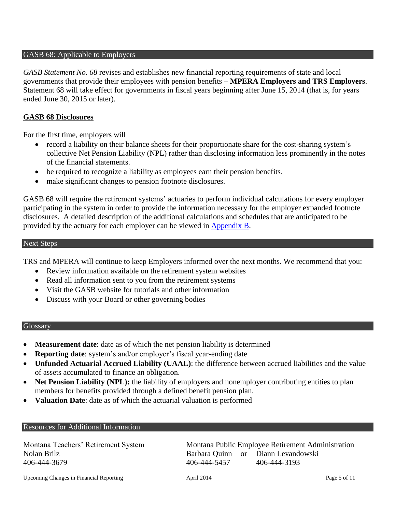#### <span id="page-4-0"></span>GASB 68: Applicable to Employers

*GASB Statement No. 68* revises and establishes new financial reporting requirements of state and local governments that provide their employees with pension benefits – **MPERA Employers and TRS Employers**. Statement 68 will take effect for governments in fiscal years beginning after June 15, 2014 (that is, for years ended June 30, 2015 or later).

#### **GASB 68 Disclosures**

For the first time, employers will

- record a liability on their balance sheets for their proportionate share for the cost-sharing system's collective Net Pension Liability (NPL) rather than disclosing information less prominently in the notes of the financial statements.
- be required to recognize a liability as employees earn their pension benefits.
- make significant changes to pension footnote disclosures.

GASB 68 will require the retirement systems' actuaries to perform individual calculations for every employer participating in the system in order to provide the information necessary for the employer expanded footnote disclosures. A detailed description of the additional calculations and schedules that are anticipated to be provided by the actuary for each employer can be viewed in [Appendix B.](#page-8-0)

#### <span id="page-4-1"></span>Next Steps

TRS and MPERA will continue to keep Employers informed over the next months. We recommend that you:

- Review information available on the retirement system websites
- Read all information sent to you from the retirement systems
- Visit the GASB website for tutorials and other information
- Discuss with your Board or other governing bodies

#### <span id="page-4-2"></span>**Glossary**

- **Measurement date**: date as of which the net pension liability is determined
- **Reporting date**: system's and/or employer's fiscal year-ending date
- **Unfunded Actuarial Accrued Liability (UAAL)**: the difference between accrued liabilities and the value of assets accumulated to finance an obligation.
- Net Pension Liability (NPL): the liability of employers and nonemployer contributing entities to plan members for benefits provided through a defined benefit pension plan.
- **Valuation Date**: date as of which the actuarial valuation is performed

#### <span id="page-4-3"></span>Resources for Additional Information

406-444-3679 406-444-5457 406-444-3193

Montana Teachers' Retirement System Montana Public Employee Retirement Administration Nolan Brilz Barbara Quinn or Diann Levandowski

Upcoming Changes in Financial Reporting April 2014 April 2014 Page 5 of 11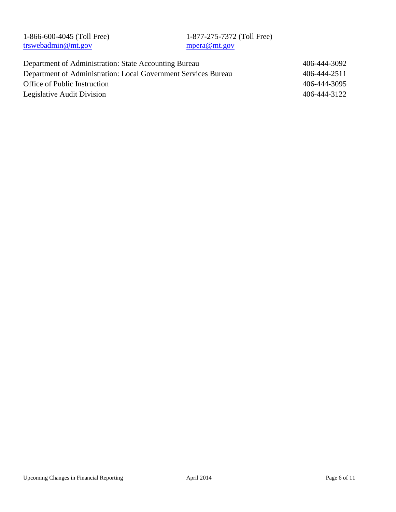| 1-866-600-4045 (Toll Free)                                     | 1-877-275-7372 (Toll Free) |              |
|----------------------------------------------------------------|----------------------------|--------------|
| trswebadmin@mt.gov                                             | mpera@mt.gov               |              |
|                                                                |                            |              |
| Department of Administration: State Accounting Bureau          |                            | 406-444-3092 |
| Department of Administration: Local Government Services Bureau |                            | 406-444-2511 |
| Office of Public Instruction                                   |                            | 406-444-3095 |
| Legislative Audit Division                                     |                            | 406-444-3122 |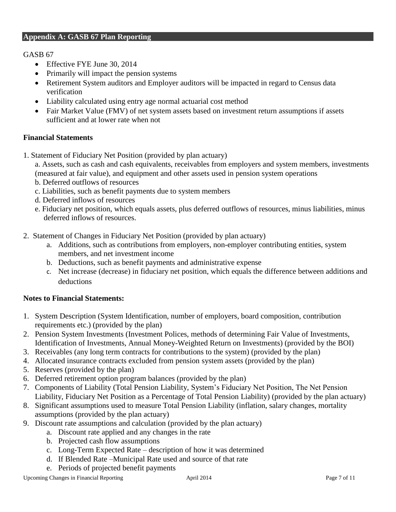# <span id="page-6-0"></span>**Appendix A: GASB 67 Plan Reporting**

GASB 67

- Effective FYE June 30, 2014
- Primarily will impact the pension systems
- Retirement System auditors and Employer auditors will be impacted in regard to Census data verification
- Liability calculated using entry age normal actuarial cost method
- Fair Market Value (FMV) of net system assets based on investment return assumptions if assets sufficient and at lower rate when not

#### **Financial Statements**

- 1. Statement of Fiduciary Net Position (provided by plan actuary)
	- a. Assets, such as cash and cash equivalents, receivables from employers and system members, investments (measured at fair value), and equipment and other assets used in pension system operations
	- b. Deferred outflows of resources
	- c. Liabilities, such as benefit payments due to system members
	- d. Deferred inflows of resources
	- e. Fiduciary net position, which equals assets, plus deferred outflows of resources, minus liabilities, minus deferred inflows of resources.
- 2. Statement of Changes in Fiduciary Net Position (provided by plan actuary)
	- a. Additions, such as contributions from employers, non-employer contributing entities, system members, and net investment income
	- b. Deductions, such as benefit payments and administrative expense
	- c. Net increase (decrease) in fiduciary net position, which equals the difference between additions and deductions

#### **Notes to Financial Statements:**

- 1. System Description (System Identification, number of employers, board composition, contribution requirements etc.) (provided by the plan)
- 2. Pension System Investments (Investment Polices, methods of determining Fair Value of Investments, Identification of Investments, Annual Money-Weighted Return on Investments) (provided by the BOI)
- 3. Receivables (any long term contracts for contributions to the system) (provided by the plan)
- 4. Allocated insurance contracts excluded from pension system assets (provided by the plan)
- 5. Reserves (provided by the plan)
- 6. Deferred retirement option program balances (provided by the plan)
- 7. Components of Liability (Total Pension Liability, System's Fiduciary Net Position, The Net Pension Liability, Fiduciary Net Position as a Percentage of Total Pension Liability) (provided by the plan actuary)
- 8. Significant assumptions used to measure Total Pension Liability (inflation, salary changes, mortality assumptions (provided by the plan actuary)
- 9. Discount rate assumptions and calculation (provided by the plan actuary)
	- a. Discount rate applied and any changes in the rate
	- b. Projected cash flow assumptions
	- c. Long-Term Expected Rate description of how it was determined
	- d. If Blended Rate –Municipal Rate used and source of that rate
	- e. Periods of projected benefit payments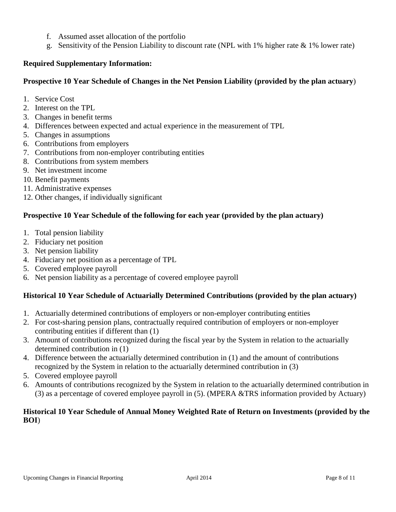- f. Assumed asset allocation of the portfolio
- g. Sensitivity of the Pension Liability to discount rate (NPL with 1% higher rate & 1% lower rate)

## **Required Supplementary Information:**

# **Prospective 10 Year Schedule of Changes in the Net Pension Liability (provided by the plan actuary**)

- 1. Service Cost
- 2. Interest on the TPL
- 3. Changes in benefit terms
- 4. Differences between expected and actual experience in the measurement of TPL
- 5. Changes in assumptions
- 6. Contributions from employers
- 7. Contributions from non-employer contributing entities
- 8. Contributions from system members
- 9. Net investment income
- 10. Benefit payments
- 11. Administrative expenses
- 12. Other changes, if individually significant

# **Prospective 10 Year Schedule of the following for each year (provided by the plan actuary)**

- 1. Total pension liability
- 2. Fiduciary net position
- 3. Net pension liability
- 4. Fiduciary net position as a percentage of TPL
- 5. Covered employee payroll
- 6. Net pension liability as a percentage of covered employee payroll

#### **Historical 10 Year Schedule of Actuarially Determined Contributions (provided by the plan actuary)**

- 1. Actuarially determined contributions of employers or non-employer contributing entities
- 2. For cost-sharing pension plans, contractually required contribution of employers or non-employer contributing entities if different than (1)
- 3. Amount of contributions recognized during the fiscal year by the System in relation to the actuarially determined contribution in (1)
- 4. Difference between the actuarially determined contribution in (1) and the amount of contributions recognized by the System in relation to the actuarially determined contribution in (3)
- 5. Covered employee payroll
- 6. Amounts of contributions recognized by the System in relation to the actuarially determined contribution in (3) as a percentage of covered employee payroll in (5). (MPERA &TRS information provided by Actuary)

#### **Historical 10 Year Schedule of Annual Money Weighted Rate of Return on Investments (provided by the BOI**)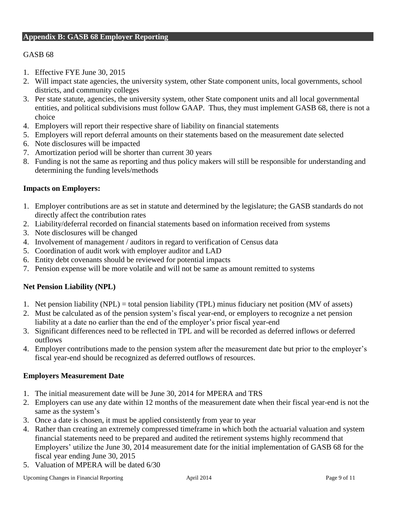# <span id="page-8-0"></span>GASB 68

- 1. Effective FYE June 30, 2015
- 2. Will impact state agencies, the university system, other State component units, local governments, school districts, and community colleges
- 3. Per state statute, agencies, the university system, other State component units and all local governmental entities, and political subdivisions must follow GAAP. Thus, they must implement GASB 68, there is not a choice
- 4. Employers will report their respective share of liability on financial statements
- 5. Employers will report deferral amounts on their statements based on the measurement date selected
- 6. Note disclosures will be impacted
- 7. Amortization period will be shorter than current 30 years
- 8. Funding is not the same as reporting and thus policy makers will still be responsible for understanding and determining the funding levels/methods

#### **Impacts on Employers:**

- 1. Employer contributions are as set in statute and determined by the legislature; the GASB standards do not directly affect the contribution rates
- 2. Liability/deferral recorded on financial statements based on information received from systems
- 3. Note disclosures will be changed
- 4. Involvement of management / auditors in regard to verification of Census data
- 5. Coordination of audit work with employer auditor and LAD
- 6. Entity debt covenants should be reviewed for potential impacts
- 7. Pension expense will be more volatile and will not be same as amount remitted to systems

#### **Net Pension Liability (NPL)**

- 1. Net pension liability (NPL) = total pension liability (TPL) minus fiduciary net position (MV of assets)
- 2. Must be calculated as of the pension system's fiscal year-end, or employers to recognize a net pension liability at a date no earlier than the end of the employer's prior fiscal year-end
- 3. Significant differences need to be reflected in TPL and will be recorded as deferred inflows or deferred outflows
- 4. Employer contributions made to the pension system after the measurement date but prior to the employer's fiscal year-end should be recognized as deferred outflows of resources.

#### **Employers Measurement Date**

- 1. The initial measurement date will be June 30, 2014 for MPERA and TRS
- 2. Employers can use any date within 12 months of the measurement date when their fiscal year-end is not the same as the system's
- 3. Once a date is chosen, it must be applied consistently from year to year
- 4. Rather than creating an extremely compressed timeframe in which both the actuarial valuation and system financial statements need to be prepared and audited the retirement systems highly recommend that Employers' utilize the June 30, 2014 measurement date for the initial implementation of GASB 68 for the fiscal year ending June 30, 2015
- 5. Valuation of MPERA will be dated 6/30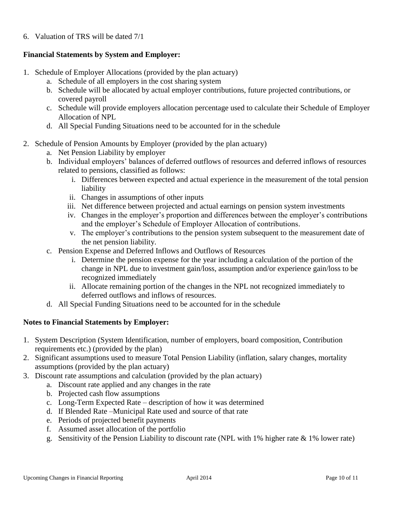# 6. Valuation of TRS will be dated 7/1

# **Financial Statements by System and Employer:**

- 1. Schedule of Employer Allocations (provided by the plan actuary)
	- a. Schedule of all employers in the cost sharing system
	- b. Schedule will be allocated by actual employer contributions, future projected contributions, or covered payroll
	- c. Schedule will provide employers allocation percentage used to calculate their Schedule of Employer Allocation of NPL
	- d. All Special Funding Situations need to be accounted for in the schedule
- 2. Schedule of Pension Amounts by Employer (provided by the plan actuary)
	- a. Net Pension Liability by employer
	- b. Individual employers' balances of deferred outflows of resources and deferred inflows of resources related to pensions, classified as follows:
		- i. Differences between expected and actual experience in the measurement of the total pension liability
		- ii. Changes in assumptions of other inputs
		- iii. Net difference between projected and actual earnings on pension system investments
		- iv. Changes in the employer's proportion and differences between the employer's contributions and the employer's Schedule of Employer Allocation of contributions.
		- v. The employer's contributions to the pension system subsequent to the measurement date of the net pension liability.
	- c. Pension Expense and Deferred Inflows and Outflows of Resources
		- i. Determine the pension expense for the year including a calculation of the portion of the change in NPL due to investment gain/loss, assumption and/or experience gain/loss to be recognized immediately
		- ii. Allocate remaining portion of the changes in the NPL not recognized immediately to deferred outflows and inflows of resources.
	- d. All Special Funding Situations need to be accounted for in the schedule

#### **Notes to Financial Statements by Employer:**

- 1. System Description (System Identification, number of employers, board composition, Contribution requirements etc.) (provided by the plan)
- 2. Significant assumptions used to measure Total Pension Liability (inflation, salary changes, mortality assumptions (provided by the plan actuary)
- 3. Discount rate assumptions and calculation (provided by the plan actuary)
	- a. Discount rate applied and any changes in the rate
	- b. Projected cash flow assumptions
	- c. Long-Term Expected Rate description of how it was determined
	- d. If Blended Rate –Municipal Rate used and source of that rate
	- e. Periods of projected benefit payments
	- f. Assumed asset allocation of the portfolio
	- g. Sensitivity of the Pension Liability to discount rate (NPL with 1% higher rate & 1% lower rate)